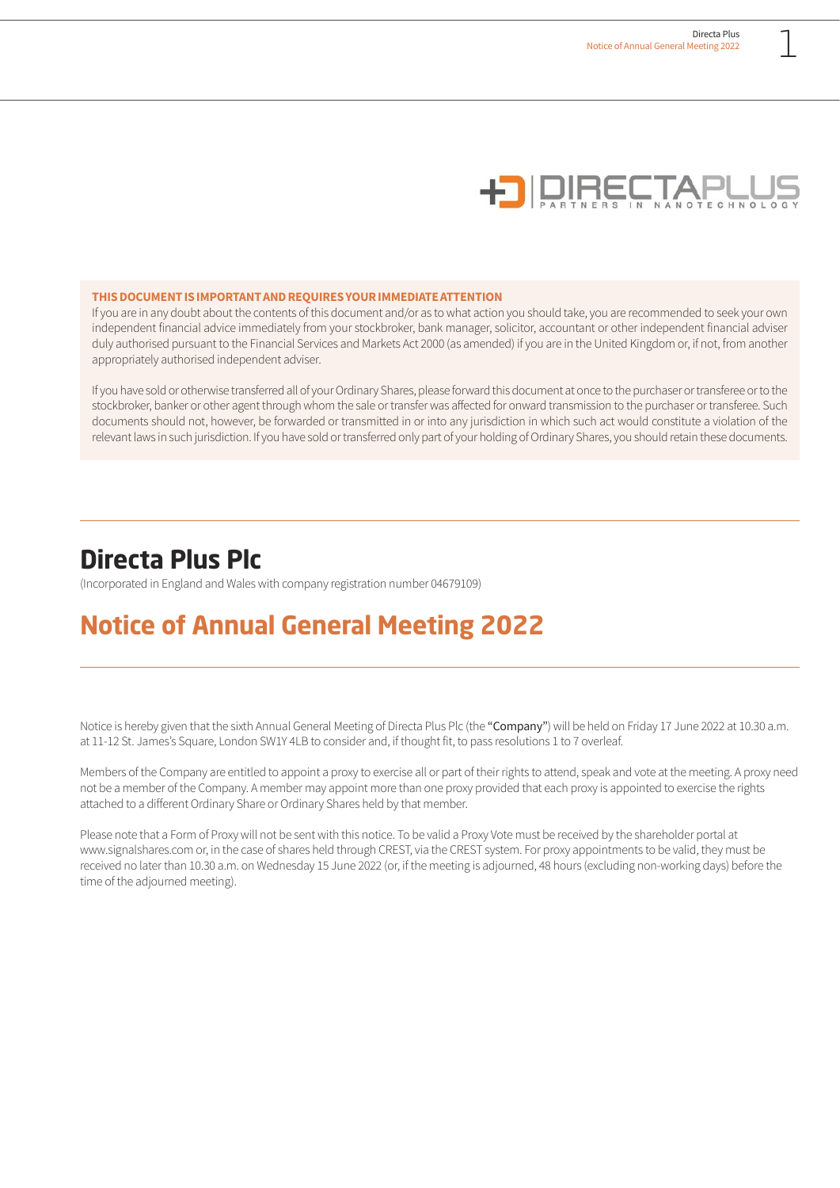

#### **THIS DOCUMENT IS IMPORTANT AND REQUIRES YOUR IMMEDIATE ATTENTION**

If you are in any doubt about the contents of this document and/or as to what action you should take, you are recommended to seek your own independent financial advice immediately from your stockbroker, bank manager, solicitor, accountant or other independent financial adviser duly authorised pursuant to the Financial Services and Markets Act 2000 (as amended) if you are in the United Kingdom or, if not, from another appropriately authorised independent adviser.

If you have sold or otherwise transferred all of your Ordinary Shares, please forward this document at once to the purchaser or transferee or to the stockbroker, banker or other agent through whom the sale or transfer was affected for onward transmission to the purchaser or transferee. Such documents should not, however, be forwarded or transmitted in or into any jurisdiction in which such act would constitute a violation of the relevant laws in such jurisdiction. If you have sold or transferred only part of your holding of Ordinary Shares, you should retain these documents.

**Directa Plus Plc** (Incorporated in England and Wales with company registration number 04679109)

# **Notice of Annual General Meeting 2022**

Notice is hereby given that the sixth Annual General Meeting of Directa Plus Plc (the "Company") will be held on Friday 17 June 2022 at 10.30 a.m. at 11-12 St. James's Square, London SW1Y 4LB to consider and, if thought fit, to pass resolutions 1 to 7 overleaf.

Members of the Company are entitled to appoint a proxy to exercise all or part of their rights to attend, speak and vote at the meeting. A proxy need not be a member of the Company. A member may appoint more than one proxy provided that each proxy is appointed to exercise the rights attached to a different Ordinary Share or Ordinary Shares held by that member.

Please note that a Form of Proxy will not be sent with this notice. To be valid a Proxy Vote must be received by the shareholder portal at www.signalshares.com or, in the case of shares held through CREST, via the CREST system. For proxy appointments to be valid, they must be received no later than 10.30 a.m. on Wednesday 15 June 2022 (or, if the meeting is adjourned, 48 hours (excluding non-working days) before the time of the adjourned meeting).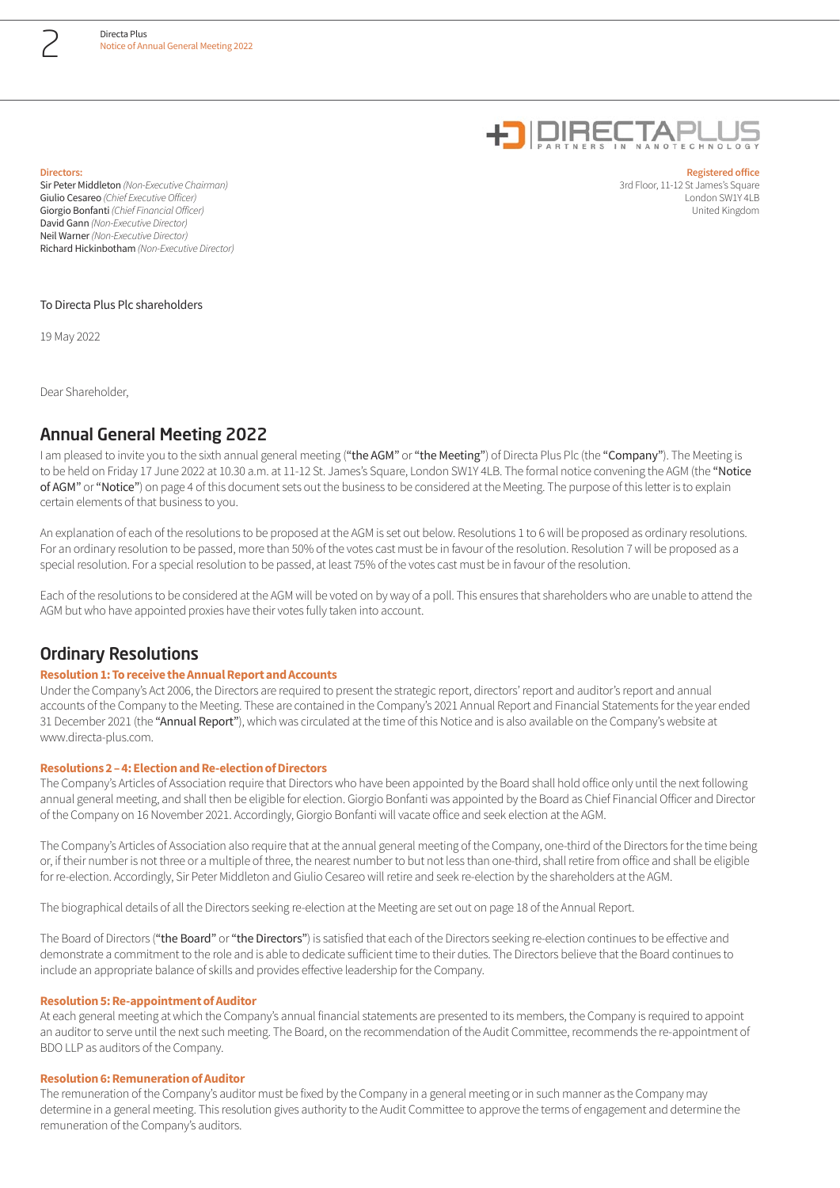

#### **Directors:**

Sir Peter Middleton *(Non-Executive Chairman)* Giulio Cesareo *(Chief Executive Officer)* Giorgio Bonfanti *(Chief Financial Officer)* David Gann *(Non-Executive Director)* Neil Warner *(Non-Executive Director)* Richard Hickinbotham *(Non-Executive Director)*

**Registered office** 3rd Floor, 11-12 St James's Square London SW1Y 4LB United Kingdom

#### To Directa Plus Plc shareholders

19 May 2022

Dear Shareholder,

# Annual General Meeting 2022

I am pleased to invite you to the sixth annual general meeting ("the AGM" or "the Meeting") of Directa Plus Plc (the "Company"). The Meeting is to be held on Friday 17 June 2022 at 10.30 a.m. at 11-12 St. James's Square, London SW1Y 4LB. The formal notice convening the AGM (the "Notice of AGM" or "Notice") on page 4 of this document sets out the business to be considered at the Meeting. The purpose of this letter is to explain certain elements of that business to you.

An explanation of each of the resolutions to be proposed at the AGM is set out below. Resolutions 1 to 6 will be proposed as ordinary resolutions. For an ordinary resolution to be passed, more than 50% of the votes cast must be in favour of the resolution. Resolution 7 will be proposed as a special resolution. For a special resolution to be passed, at least 75% of the votes cast must be in favour of the resolution.

Each of the resolutions to be considered at the AGM will be voted on by way of a poll. This ensures that shareholders who are unable to attend the AGM but who have appointed proxies have their votes fully taken into account.

### Ordinary Resolutions

### **Resolution 1: To receive the Annual Report and Accounts**

Under the Company's Act 2006, the Directors are required to present the strategic report, directors' report and auditor's report and annual accounts of the Company to the Meeting. These are contained in the Company's 2021 Annual Report and Financial Statements for the year ended 31 December 2021 (the "Annual Report"), which was circulated at the time of this Notice and is also available on the Company's website at www.directa-plus.com.

#### **Resolutions 2 – 4: Election and Re-election of Directors**

The Company's Articles of Association require that Directors who have been appointed by the Board shall hold office only until the next following annual general meeting, and shall then be eligible for election. Giorgio Bonfanti was appointed by the Board as Chief Financial Officer and Director of the Company on 16 November 2021. Accordingly, Giorgio Bonfanti will vacate office and seek election at the AGM.

The Company's Articles of Association also require that at the annual general meeting of the Company, one-third of the Directors for the time being or, if their number is not three or a multiple of three, the nearest number to but not less than one-third, shall retire from office and shall be eligible for re-election. Accordingly, Sir Peter Middleton and Giulio Cesareo will retire and seek re-election by the shareholders at the AGM.

The biographical details of all the Directors seeking re-election at the Meeting are set out on page 18 of the Annual Report.

The Board of Directors ("the Board" or "the Directors") is satisfied that each of the Directors seeking re-election continues to be effective and demonstrate a commitment to the role and is able to dedicate sufficient time to their duties. The Directors believe that the Board continues to include an appropriate balance of skills and provides effective leadership for the Company.

#### **Resolution 5: Re-appointment of Auditor**

At each general meeting at which the Company's annual financial statements are presented to its members, the Company is required to appoint an auditor to serve until the next such meeting. The Board, on the recommendation of the Audit Committee, recommends the re-appointment of BDO LLP as auditors of the Company.

#### **Resolution 6: Remuneration of Auditor**

The remuneration of the Company's auditor must be fixed by the Company in a general meeting or in such manner as the Company may determine in a general meeting. This resolution gives authority to the Audit Committee to approve the terms of engagement and determine the remuneration of the Company's auditors.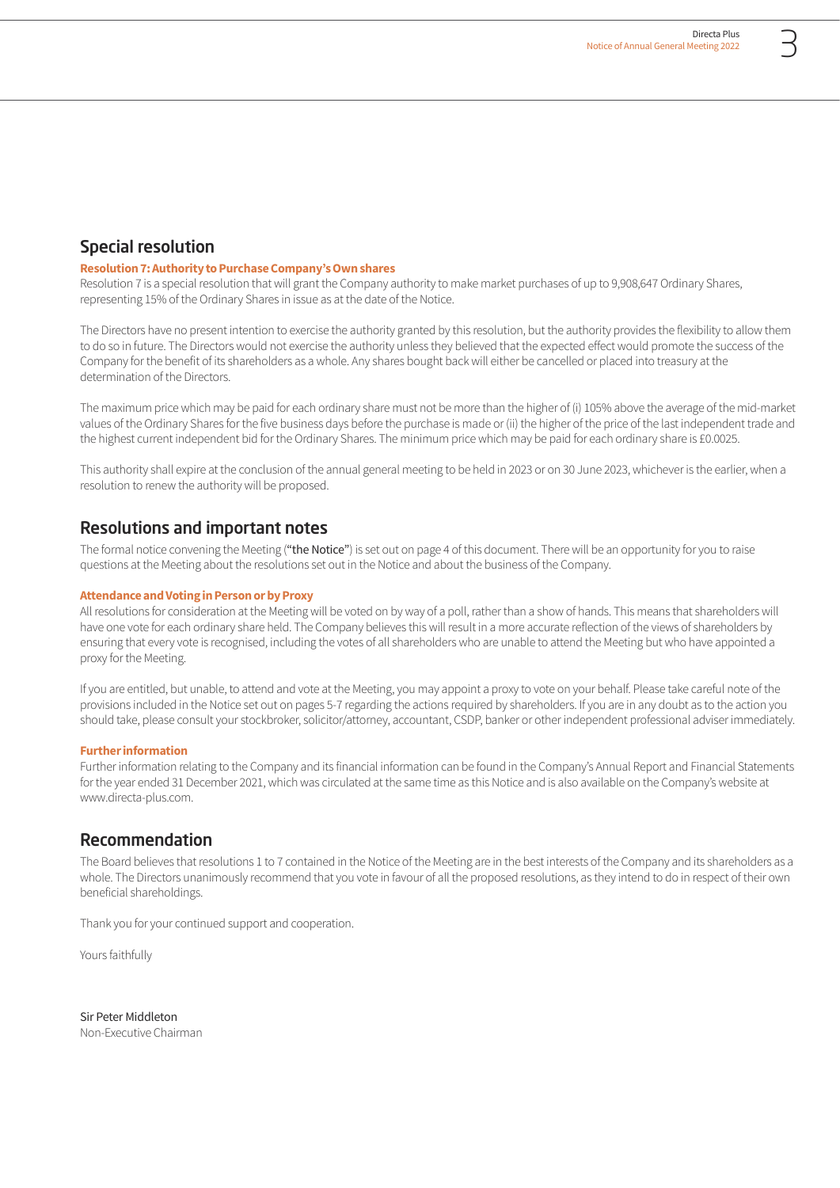# Special resolution

### **Resolution 7: Authority to Purchase Company's Own shares**

Resolution 7 is a special resolution that will grant the Company authority to make market purchases of up to 9,908,647 Ordinary Shares, representing 15% of the Ordinary Shares in issue as at the date of the Notice.

The Directors have no present intention to exercise the authority granted by this resolution, but the authority provides the flexibility to allow them to do so in future. The Directors would not exercise the authority unless they believed that the expected effect would promote the success of the Company for the benefit of its shareholders as a whole. Any shares bought back will either be cancelled or placed into treasury at the determination of the Directors.

The maximum price which may be paid for each ordinary share must not be more than the higher of (i) 105% above the average of the mid-market values of the Ordinary Shares for the five business days before the purchase is made or (ii) the higher of the price of the last independent trade and the highest current independent bid for the Ordinary Shares. The minimum price which may be paid for each ordinary share is £0.0025.

This authority shall expire at the conclusion of the annual general meeting to be held in 2023 or on 30 June 2023, whichever is the earlier, when a resolution to renew the authority will be proposed.

## Resolutions and important notes

The formal notice convening the Meeting ("the Notice") is set out on page 4 of this document. There will be an opportunity for you to raise questions at the Meeting about the resolutions set out in the Notice and about the business of the Company.

#### **Attendance and Voting in Person or by Proxy**

All resolutions for consideration at the Meeting will be voted on by way of a poll, rather than a show of hands. This means that shareholders will have one vote for each ordinary share held. The Company believes this will result in a more accurate reflection of the views of shareholders by ensuring that every vote is recognised, including the votes of all shareholders who are unable to attend the Meeting but who have appointed a proxy for the Meeting.

If you are entitled, but unable, to attend and vote at the Meeting, you may appoint a proxy to vote on your behalf. Please take careful note of the provisions included in the Notice set out on pages 5-7 regarding the actions required by shareholders. If you are in any doubt as to the action you should take, please consult your stockbroker, solicitor/attorney, accountant, CSDP, banker or other independent professional adviser immediately.

#### **Further information**

Further information relating to the Company and its financial information can be found in the Company's Annual Report and Financial Statements for the year ended 31 December 2021, which was circulated at the same time as this Notice and is also available on the Company's website at www.directa-plus.com.

# Recommendation

The Board believes that resolutions 1 to 7 contained in the Notice of the Meeting are in the best interests of the Company and its shareholders as a whole. The Directors unanimously recommend that you vote in favour of all the proposed resolutions, as they intend to do in respect of their own beneficial shareholdings.

Thank you for your continued support and cooperation.

Yours faithfully

Sir Peter Middleton Non-Executive Chairman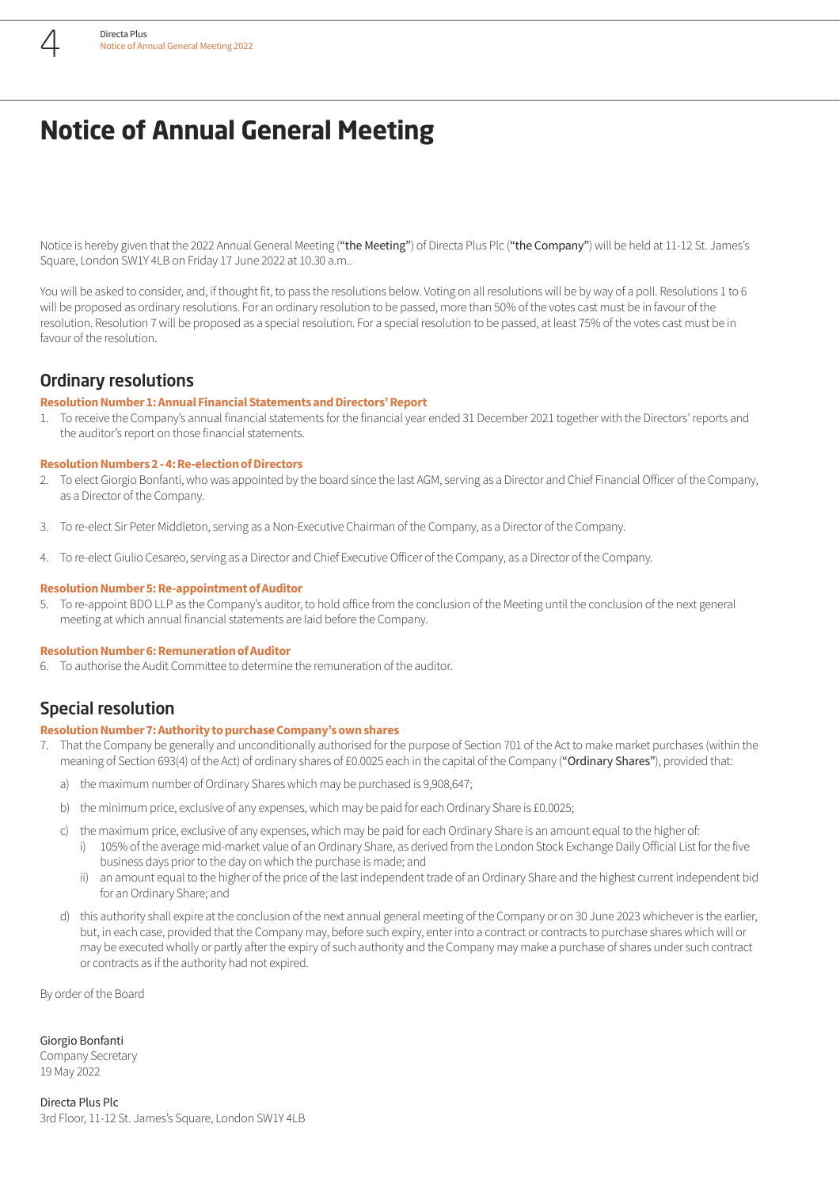# **Notice of Annual General Meeting**

Notice is hereby given that the 2022 Annual General Meeting ("the Meeting") of Directa Plus Plc ("the Company") will be held at 11-12 St. James's Square, London SW1Y 4LB on Friday 17 June 2022 at 10.30 a.m..

You will be asked to consider, and, if thought fit, to pass the resolutions below. Voting on all resolutions will be by way of a poll. Resolutions 1 to 6 will be proposed as ordinary resolutions. For an ordinary resolution to be passed, more than 50% of the votes cast must be in favour of the resolution. Resolution 7 will be proposed as a special resolution. For a special resolution to be passed, at least 75% of the votes cast must be in favour of the resolution.

# Ordinary resolutions

#### **Resolution Number 1: Annual Financial Statements and Directors' Report**

1. To receive the Company's annual financial statements for the financial year ended 31 December 2021 together with the Directors' reports and the auditor's report on those financial statements.

#### **Resolution Numbers 2 - 4: Re-election of Directors**

- 2. To elect Giorgio Bonfanti, who was appointed by the board since the last AGM, serving as a Director and Chief Financial Officer of the Company, as a Director of the Company.
- 3. To re-elect Sir Peter Middleton, serving as a Non-Executive Chairman of the Company, as a Director of the Company.
- 4. To re-elect Giulio Cesareo, serving as a Director and Chief Executive Officer of the Company, as a Director of the Company.

#### **Resolution Number 5: Re-appointment of Auditor**

5. To re-appoint BDO LLP as the Company's auditor, to hold office from the conclusion of the Meeting until the conclusion of the next general meeting at which annual financial statements are laid before the Company.

#### **Resolution Number 6: Remuneration of Auditor**

6. To authorise the Audit Committee to determine the remuneration of the auditor.

# Special resolution

#### **Resolution Number 7: Authority to purchase Company's own shares**

- 7. That the Company be generally and unconditionally authorised for the purpose of Section 701 of the Act to make market purchases (within the meaning of Section 693(4) of the Act) of ordinary shares of £0.0025 each in the capital of the Company ("Ordinary Shares"), provided that:
	- a) the maximum number of Ordinary Shares which may be purchased is 9,908,647;
	- b) the minimum price, exclusive of any expenses, which may be paid for each Ordinary Share is £0.0025;
	- c) the maximum price, exclusive of any expenses, which may be paid for each Ordinary Share is an amount equal to the higher of:
		- i) 105% of the average mid-market value of an Ordinary Share, as derived from the London Stock Exchange Daily Official List for the five business days prior to the day on which the purchase is made; and
		- ii) an amount equal to the higher of the price of the last independent trade of an Ordinary Share and the highest current independent bid for an Ordinary Share; and
	- d) this authority shall expire at the conclusion of the next annual general meeting of the Company or on 30 June 2023 whichever is the earlier, but, in each case, provided that the Company may, before such expiry, enter into a contract or contracts to purchase shares which will or may be executed wholly or partly after the expiry of such authority and the Company may make a purchase of shares under such contract or contracts as if the authority had not expired.

By order of the Board

Giorgio Bonfanti

Company Secretary 19 May 2022

Directa Plus Plc 3rd Floor, 11-12 St. James's Square, London SW1Y 4LB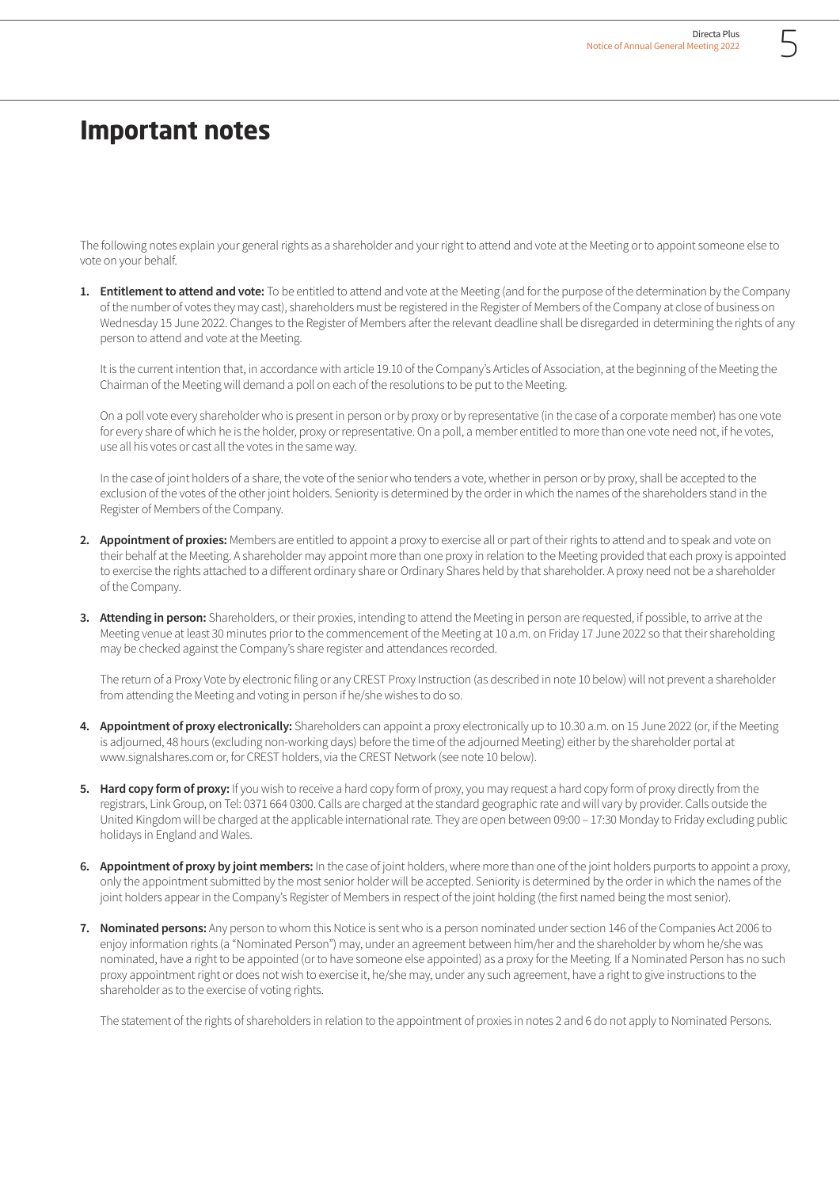# **Important notes**

The following notes explain your general rights as a shareholder and your right to attend and vote at the Meeting or to appoint someone else to vote on your behalf.

1. **Entitlement to attend and vote:** To be entitled to attend and vote at the Meeting (and for the purpose of the determination by the Company of the number of votes they may cast), shareholders must be registered in the Register of Members of the Company at close of business on Wednesday 15 June 2022. Changes to the Register of Members after the relevant deadline shall be disregarded in determining the rights of any person to attend and vote at the Meeting.

It is the current intention that, in accordance with article 19.10 of the Company's Articles of Association, at the beginning of the Meeting the Chairman of the Meeting will demand a poll on each of the resolutions to be put to the Meeting.

On a poll vote every shareholder who is present in person or by proxy or by representative (in the case of a corporate member) has one vote for every share of which he is the holder, proxy or representative. On a poll, a member entitled to more than one vote need not, if he votes, use all his votes or cast all the votes in the same way.

In the case of joint holders of a share, the vote of the senior who tenders a vote, whether in person or by proxy, shall be accepted to the exclusion of the votes of the other joint holders. Seniority is determined by the order in which the names of the shareholders stand in the Register of Members of the Company.

- **2. Appointment of proxies:** Members are entitled to appoint a proxy to exercise all or part of their rights to attend and to speak and vote on their behalf at the Meeting. A shareholder may appoint more than one proxy in relation to the Meeting provided that each proxy is appointed to exercise the rights attached to a different ordinary share or Ordinary Shares held by that shareholder. A proxy need not be a shareholder of the Company.
- **3. Attending in person:** Shareholders, or their proxies, intending to attend the Meeting in person are requested, if possible, to arrive at the Meeting venue at least 30 minutes prior to the commencement of the Meeting at 10 a.m. on Friday 17 June 2022 so that their shareholding may be checked against the Company's share register and attendances recorded.

The return of a Proxy Vote by electronic filing or any CREST Proxy Instruction (as described in note 10 below) will not prevent a shareholder from attending the Meeting and voting in person if he/she wishes to do so.

- **4. Appointment of proxy electronically:** Shareholders can appoint a proxy electronically up to 10.30 a.m. on 15 June 2022 (or, if the Meeting is adjourned, 48 hours (excluding non-working days) before the time of the adjourned Meeting) either by the shareholder portal at www.signalshares.com or, for CREST holders, via the CREST Network (see note 10 below).
- **5. Hard copy form of proxy:** If you wish to receive a hard copy form of proxy, you may request a hard copy form of proxy directly from the registrars, Link Group, on Tel: 0371 664 0300. Calls are charged at the standard geographic rate and will vary by provider. Calls outside the United Kingdom will be charged at the applicable international rate. They are open between 09:00 – 17:30 Monday to Friday excluding public holidays in England and Wales.
- **6. Appointment of proxy by joint members:** In the case of joint holders, where more than one of the joint holders purports to appoint a proxy, only the appointment submitted by the most senior holder will be accepted. Seniority is determined by the order in which the names of the joint holders appear in the Company's Register of Members in respect of the joint holding (the first named being the most senior).
- **7. Nominated persons:** Any person to whom this Notice is sent who is a person nominated under section 146 of the Companies Act 2006 to enjoy information rights (a "Nominated Person") may, under an agreement between him/her and the shareholder by whom he/she was nominated, have a right to be appointed (or to have someone else appointed) as a proxy for the Meeting. If a Nominated Person has no such proxy appointment right or does not wish to exercise it, he/she may, under any such agreement, have a right to give instructions to the shareholder as to the exercise of voting rights.

The statement of the rights of shareholders in relation to the appointment of proxies in notes 2 and 6 do not apply to Nominated Persons.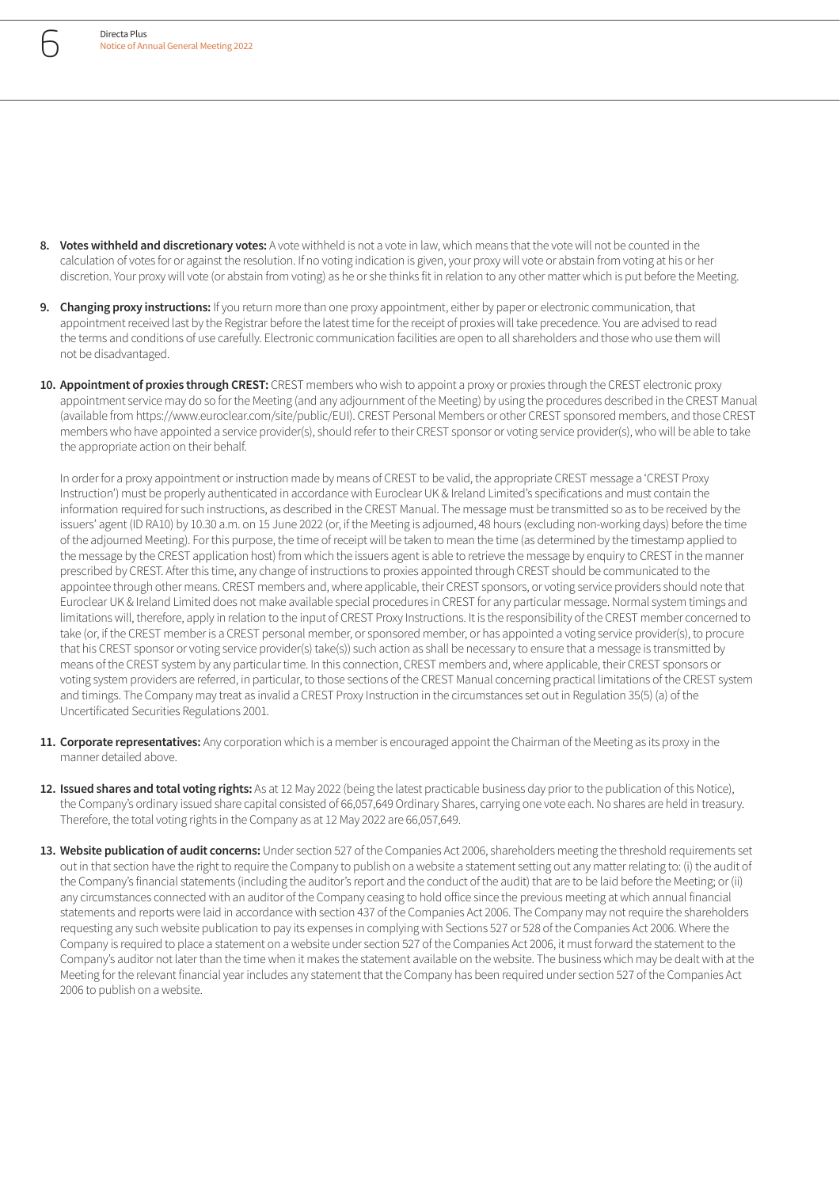

- **8. Votes withheld and discretionary votes:** A vote withheld is not a vote in law, which means that the vote will not be counted in the calculation of votes for or against the resolution. If no voting indication is given, your proxy will vote or abstain from voting at his or her discretion. Your proxy will vote (or abstain from voting) as he or she thinks fit in relation to any other matter which is put before the Meeting.
- **9. Changing proxy instructions:** If you return more than one proxy appointment, either by paper or electronic communication, that appointment received last by the Registrar before the latest time for the receipt of proxies will take precedence. You are advised to read the terms and conditions of use carefully. Electronic communication facilities are open to all shareholders and those who use them will not be disadvantaged.
- **10. Appointment of proxies through CREST:** CREST members who wish to appoint a proxy or proxies through the CREST electronic proxy appointment service may do so for the Meeting (and any adjournment of the Meeting) by using the procedures described in the CREST Manual (available from https://www.euroclear.com/site/public/EUI). CREST Personal Members or other CREST sponsored members, and those CREST members who have appointed a service provider(s), should refer to their CREST sponsor or voting service provider(s), who will be able to take the appropriate action on their behalf.

In order for a proxy appointment or instruction made by means of CREST to be valid, the appropriate CREST message a 'CREST Proxy Instruction') must be properly authenticated in accordance with Euroclear UK & Ireland Limited's specifications and must contain the information required for such instructions, as described in the CREST Manual. The message must be transmitted so as to be received by the issuers' agent (ID RA10) by 10.30 a.m. on 15 June 2022 (or, if the Meeting is adjourned, 48 hours (excluding non-working days) before the time of the adjourned Meeting). For this purpose, the time of receipt will be taken to mean the time (as determined by the timestamp applied to the message by the CREST application host) from which the issuers agent is able to retrieve the message by enquiry to CREST in the manner prescribed by CREST. After this time, any change of instructions to proxies appointed through CREST should be communicated to the appointee through other means. CREST members and, where applicable, their CREST sponsors, or voting service providers should note that Euroclear UK & Ireland Limited does not make available special procedures in CREST for any particular message. Normal system timings and limitations will, therefore, apply in relation to the input of CREST Proxy Instructions. It is the responsibility of the CREST member concerned to take (or, if the CREST member is a CREST personal member, or sponsored member, or has appointed a voting service provider(s), to procure that his CREST sponsor or voting service provider(s) take(s)) such action as shall be necessary to ensure that a message is transmitted by means of the CREST system by any particular time. In this connection, CREST members and, where applicable, their CREST sponsors or voting system providers are referred, in particular, to those sections of the CREST Manual concerning practical limitations of the CREST system and timings. The Company may treat as invalid a CREST Proxy Instruction in the circumstances set out in Regulation 35(5) (a) of the Uncertificated Securities Regulations 2001.

- 11. **Corporate representatives:** Any corporation which is a member is encouraged appoint the Chairman of the Meeting as its proxy in the manner detailed above.
- **12. Issued shares and total voting rights:** As at 12 May 2022 (being the latest practicable business day prior to the publication of this Notice), the Company's ordinary issued share capital consisted of 66,057,649 Ordinary Shares, carrying one vote each. No shares are held in treasury. Therefore, the total voting rights in the Company as at 12 May 2022 are 66,057,649.
- 13. Website publication of audit concerns: Under section 527 of the Companies Act 2006, shareholders meeting the threshold requirements set out in that section have the right to require the Company to publish on a website a statement setting out any matter relating to: (i) the audit of the Company's financial statements (including the auditor's report and the conduct of the audit) that are to be laid before the Meeting; or (ii) any circumstances connected with an auditor of the Company ceasing to hold office since the previous meeting at which annual financial statements and reports were laid in accordance with section 437 of the Companies Act 2006. The Company may not require the shareholders requesting any such website publication to pay its expenses in complying with Sections 527 or 528 of the Companies Act 2006. Where the Company is required to place a statement on a website under section 527 of the Companies Act 2006, it must forward the statement to the Company's auditor not later than the time when it makes the statement available on the website. The business which may be dealt with at the Meeting for the relevant financial year includes any statement that the Company has been required under section 527 of the Companies Act 2006 to publish on a website.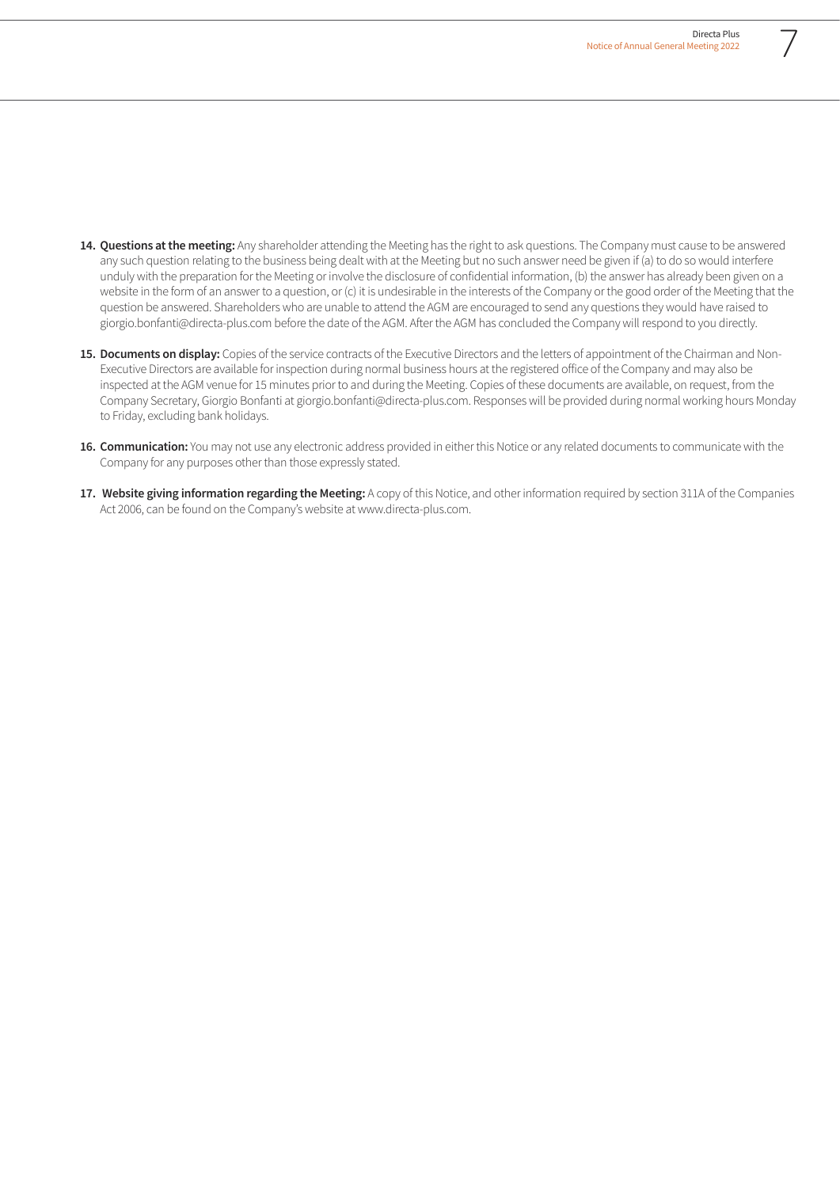- **14. Questions at the meeting:** Any shareholder attending the Meeting has the right to ask questions. The Company must cause to be answered any such question relating to the business being dealt with at the Meeting but no such answer need be given if (a) to do so would interfere unduly with the preparation for the Meeting or involve the disclosure of confidential information, (b) the answer has already been given on a website in the form of an answer to a question, or (c) it is undesirable in the interests of the Company or the good order of the Meeting that the question be answered. Shareholders who are unable to attend the AGM are encouraged to send any questions they would have raised to giorgio.bonfanti@directa-plus.com before the date of the AGM. After the AGM has concluded the Company will respond to you directly.
- 15. Documents on display: Copies of the service contracts of the Executive Directors and the letters of appointment of the Chairman and Non-Executive Directors are available for inspection during normal business hours at the registered office of the Company and may also be inspected at the AGM venue for 15 minutes prior to and during the Meeting. Copies of these documents are available, on request, from the Company Secretary, Giorgio Bonfanti at giorgio.bonfanti@directa-plus.com. Responses will be provided during normal working hours Monday to Friday, excluding bank holidays.
- **16. Communication:** You may not use any electronic address provided in either this Notice or any related documents to communicate with the Company for any purposes other than those expressly stated.
- **17. Website giving information regarding the Meeting:** A copy of this Notice, and other information required by section 311A of the Companies Act 2006, can be found on the Company's website at www.directa-plus.com.